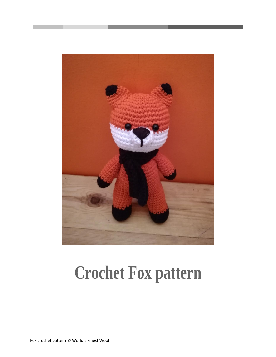

# **Crochet Fox pattern**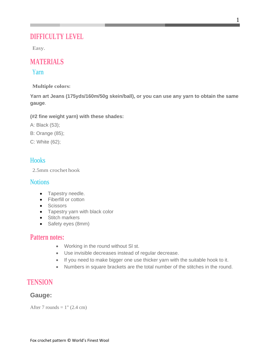# **DIFFICULTY LEVEL**

Easy.

# **MATERIALS**

### Yarn

**Multiple colors:**

**Yarn art Jeans (175yds/160m/50g skein/ball), or you can use any yarn to obtain the same gauge**.

**(#2 fine weight yarn) with these shades:**

- A: Black (53);
- B: Orange (85);
- C: White (62);

## **Hooks**

2.5mm crochet hook

## **Notions**

- Tapestry needle.
- Fiberfill or cotton
- Scissors
- Tapestry yarn with black color
- Stitch markers
- Safety eyes (8mm)

## **Pattern notes:**

- Working in the round without Sl st.
- Use invisible decreases instead of regular decrease.
- If you need to make bigger one use thicker yarn with the suitable hook to it.
- Numbers in square brackets are the total number of the stitches in the round.

# **TENSION**

## **Gauge:**

After 7 rounds  $= 1$ " (2.4 cm)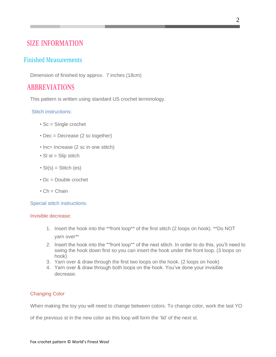# **SIZE INFORMATION**

## Finished Measurements

Dimension of finished toy approx. 7 inches (18cm)

# **ABBREVIATIONS**

This pattern is written using standard US crochet terminology.

#### Stitch instructions:

- Sc = Single crochet
- Dec = Decrease (2 sc together)
- Inc= Increase (2 sc in one stitch)
- $\cdot$  SI st = Slip stitch
- $St(s) = Stitch (es)$
- Dc = Double crochet
- $\cdot$  Ch = Chain

Special stitch instructions:

#### Invisible decrease:

- 1. Insert the hook into the \*\*front loop\*\* of the first stitch (2 loops on hook). \*\*Do NOT yarn over\*\*
- 2. Insert the hook into the \*\*front loop\*\* of the next stitch. In order to do this, you'll need to swing the hook down first so you can insert the hook under the front loop. (3 loops on hook)
- 3. Yarn over & draw through the first two loops on the hook. (2 loops on hook)
- 4. Yarn over & draw through both loops on the hook. You've done your invisible decrease.

#### Changing Color

When making the toy you will need to change between colors. To change color, work the last YO

of the previous st in the new color as this loop will form the 'lid' of the next st.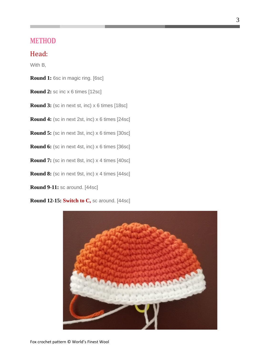## **METHOD**

## Head:

With B,

**Round 1:** 6sc in magic ring. [6sc]

- **Round 2:** sc inc x 6 times [12sc]
- **Round 3:** (sc in next st, inc) x 6 times [18sc]

**Round 4:** (sc in next 2st, inc) x 6 times [24sc]

**Round 5:** (sc in next 3st, inc) x 6 times [30sc]

**Round 6:** (sc in next 4st, inc) x 6 times [36sc]

**Round 7:** (sc in next 8st, inc) x 4 times [40sc]

**Round 8:** (sc in next 9st, inc) x 4 times [44sc]

**Round 9-11:** sc around. [44sc]

**Round 12-15: Switch to C,** sc around. [44sc]

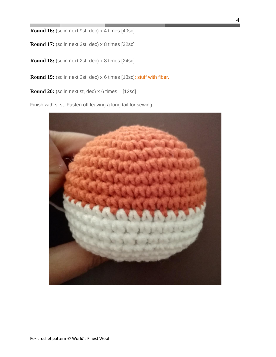**Round 16:** (sc in next 9st, dec) x 4 times [40sc]

**Round 17:** (sc in next 3st, dec) x 8 times [32sc]

**Round 18:** (sc in next 2st, dec) x 8 times [24sc]

**Round 19:** (sc in next 2st, dec) x 6 times [18sc]; stuff with fiber.

**Round 20:** (sc in next st, dec) x 6 times [12sc]

Finish with sl st. Fasten off leaving a long tail for sewing.

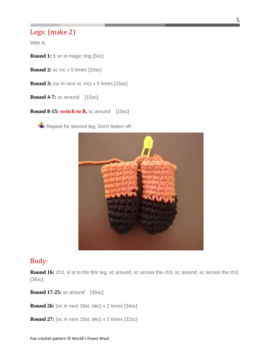## Legs: (make 2)

With A,

**Round 1:** 5 sc in magic ring [5sc]

**Round 2:** sc inc x 5 times [10sc]

**Round 3:** (sc in next st, inc) x 5 times [15sc]

**Round 4-7:** sc around [15sc]

**Round 8-15: switch to B,** sc around [15sc]

Repeat for second leg, Don't fasten off.



## Body:

**Round 16:** ch3, sl st to the first leg, sc around, sc across the ch3, sc around, sc across the ch3. [36sc]

**Round 17-25:** sc around [36sc]

**Round 26:** (sc in next 16st, dec) x 2 times [34sc]

**Round 27:** (sc in next 15st, dec) x 2 times [32sc]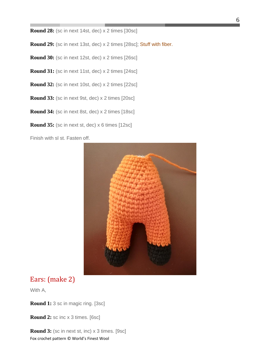**Round 28:** (sc in next 14st, dec) x 2 times [30sc]

**Round 29:** (sc in next 13st, dec) x 2 times [28sc]; Stuff with fiber.

**Round 30:** (sc in next 12st, dec) x 2 times [26sc]

**Round 31:** (sc in next 11st, dec) x 2 times [24sc]

**Round 32:** (sc in next 10st, dec) x 2 times [22sc]

**Round 33:** (sc in next 9st, dec) x 2 times [20sc]

**Round 34:** (sc in next 8st, dec) x 2 times [18sc]

**Round 35:** (sc in next st, dec) x 6 times [12sc]

Finish with sl st. Fasten off.



## Ears: (make 2)

With A,

**Round 1:** 3 sc in magic ring. [3sc]

**Round 2:** sc inc x 3 times. [6sc]

Fox crochet pattern © World's Finest Wool **Round 3:** (sc in next st, inc) x 3 times. [9sc]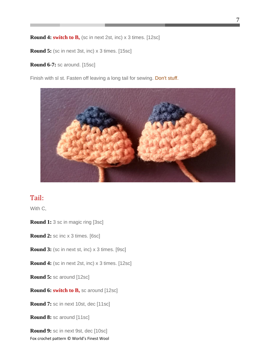**Round 4: switch to B,** (sc in next 2st, inc) x 3 times. [12sc]

**Round 5:** (sc in next 3st, inc) x 3 times. [15sc]

**Round 6-7:** sc around. [15sc]

Finish with sl st. Fasten off leaving a long tail for sewing. Don't stuff.



# Tail:

With C,

**Round 1:** 3 sc in magic ring [3sc]

**Round 2:** sc inc x 3 times. [6sc]

**Round 3:** (sc in next st, inc) x 3 times. [9sc]

**Round 4:** (sc in next 2st, inc) x 3 times. [12sc]

**Round 5:** sc around [12sc]

**Round 6: switch to B,** sc around [12sc]

**Round 7:** sc in next 10st, dec [11sc]

**Round 8:** sc around [11sc]

Fox crochet pattern © World's Finest Wool **Round 9:** sc in next 9st, dec [10sc]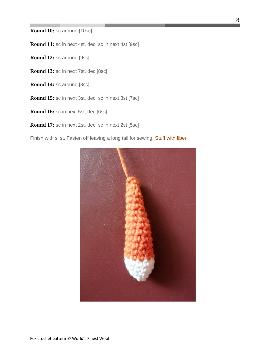**Round 10:** sc around [10sc]

**Round 11:** sc in next 4st, dec, sc in next 4st [9sc]

**Round 12:** sc around [9sc]

- **Round 13:** sc in next 7st, dec [8sc]
- **Round 14:** sc around [8sc]
- **Round 15:** sc in next 3st, dec, sc in next 3st [7sc]
- **Round 16:** sc in next 5st, dec [6sc]
- **Round 17:** sc in next 2st, dec, sc in next 2st [5sc]

Finish with sl st. Fasten off leaving a long tail for sewing. Stuff with fiber.

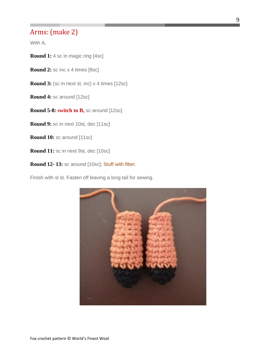## Arms: (make 2)

With A,

**Round 1:** 4 sc in magic ring [4sc]

**Round 2:** sc inc x 4 times [8sc]

**Round 3:** (sc in next st, inc) x 4 times [12sc]

**Round 4:** sc around [12sc]

**Round 5-8: switch to B,** sc around [12sc]

**Round 9:** sc in next 10st, dec [11sc]

**Round 10:** sc around [11sc]

**Round 11:** sc in next 9st, dec [10sc]

**Round 12- 13:** sc around [10sc]; Stuff with fiber.

Finish with sl st. Fasten off leaving a long tail for sewing.

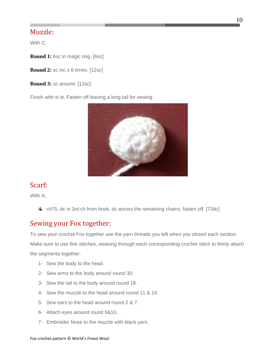## Muzzle:

With C,

**Round 1:** 6sc in magic ring. [6sc]

**Round 2:** sc inc x 6 times. [12sc]

**Round 3:** sc around. [12sc]

Finish with sl st. Fasten off leaving a long tail for sewing.



## Scarf:

With A,

 $\ddot{ }$  ch75, dc in 3rd ch from hook, dc across the remaining chains, fasten off. [72dc]

## Sewing your Fox together:

To sew your crochet Fox together use the yarn threads you left when you closed each section.

Make sure to use fine stitches, weaving through each corresponding crochet stitch to firmly attach the segments together.

- 1- Sew the body to the head.
- 2- Sew arms to the body around round 30.
- 3- Sew the tail to the body around round 18.
- 4- Sew the muzzle to the head around round 11 & 14.
- 5- Sew ears to the head around round 2 & 7.
- 6- Attach eyes around round 9&10.
- 7- Embroider Nose to the muzzle with black yarn.